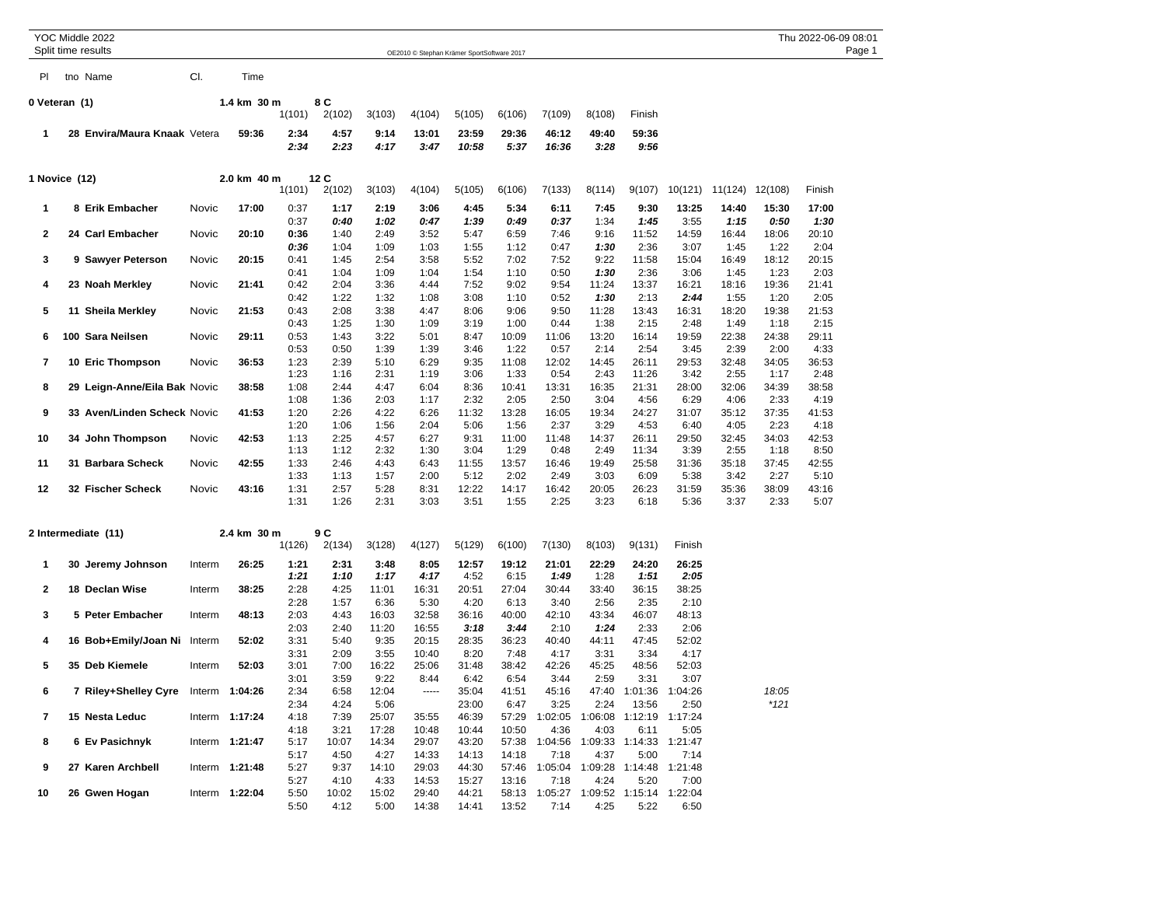|               |  | YOC Middle 2022                     |             |                |              |               |                |                                            |                |                |                 |                                       |                         |                 |                         |               | Thu 2022-06-09 08:01 |        |
|---------------|--|-------------------------------------|-------------|----------------|--------------|---------------|----------------|--------------------------------------------|----------------|----------------|-----------------|---------------------------------------|-------------------------|-----------------|-------------------------|---------------|----------------------|--------|
|               |  | Split time results                  |             |                |              |               |                | OE2010 © Stephan Krämer SportSoftware 2017 |                |                |                 |                                       |                         |                 |                         |               |                      | Page 1 |
| PI            |  | tno Name                            | CI.         | Time           |              |               |                |                                            |                |                |                 |                                       |                         |                 |                         |               |                      |        |
| 0 Veteran (1) |  |                                     |             | 1.4 km 30 m    |              | 8 C           |                |                                            |                |                |                 |                                       |                         |                 |                         |               |                      |        |
|               |  |                                     |             |                | 1(101)       | 2(102)        | 3(103)         | 4(104)                                     | 5(105)         | 6(106)         | 7(109)          | 8(108)                                | Finish                  |                 |                         |               |                      |        |
| 1             |  | 28 Envira/Maura Knaak Vetera        |             | 59:36          | 2:34         | 4:57          | 9:14           | 13:01                                      | 23:59          | 29:36          | 46:12           | 49:40                                 | 59:36                   |                 |                         |               |                      |        |
|               |  |                                     |             |                | 2:34         | 2:23          | 4:17           | 3:47                                       | 10:58          | 5:37           | 16:36           | 3:28                                  | 9:56                    |                 |                         |               |                      |        |
| 1 Novice (12) |  |                                     | 2.0 km 40 m |                | 12 C         |               |                |                                            |                |                |                 |                                       |                         |                 |                         |               |                      |        |
|               |  |                                     |             |                | 1(101)       | 2(102)        | 3(103)         | 4(104)                                     | 5(105)         | 6(106)         | 7(133)          | 8(114)                                | 9(107)                  |                 | 10(121) 11(124) 12(108) |               | Finish               |        |
| 1             |  | 8 Erik Embacher                     | Novic       | 17:00          | 0:37<br>0:37 | 1:17<br>0:40  | 2:19<br>1:02   | 3:06<br>0:47                               | 4:45<br>1:39   | 5:34<br>0:49   | 6:11<br>0:37    | 7:45<br>1:34                          | 9:30<br>1:45            | 13:25<br>3:55   | 14:40<br>1:15           | 15:30<br>0:50 | 17:00<br>1:30        |        |
| 2             |  | 24 Carl Embacher                    | Novic       | 20:10          | 0:36         | 1:40          | 2:49           | 3:52                                       | 5:47           | 6:59           | 7:46            | 9:16                                  | 11:52                   | 14:59           | 16:44                   | 18:06         | 20:10                |        |
|               |  |                                     |             |                | 0:36         | 1:04          | 1:09           | 1:03                                       | 1:55           | 1:12           | 0:47            | 1:30                                  | 2:36                    | 3:07            | 1:45                    | 1:22          | 2:04                 |        |
| 3             |  | 9 Sawyer Peterson                   | Novic       | 20:15          | 0:41         | 1:45          | 2:54           | 3:58                                       | 5:52           | 7:02           | 7:52            | 9:22                                  | 11:58                   | 15:04           | 16:49                   | 18:12         | 20:15                |        |
|               |  |                                     |             |                | 0:41         | 1:04          | 1:09           | 1:04                                       | 1:54           | 1:10           | 0:50            | 1:30                                  | 2:36                    | 3:06            | 1:45                    | 1:23          | 2:03                 |        |
| 4             |  | 23 Noah Merkley                     | Novic       | 21:41          | 0:42<br>0:42 | 2:04<br>1:22  | 3:36<br>1:32   | 4:44<br>1:08                               | 7:52<br>3:08   | 9:02<br>1:10   | 9:54<br>0:52    | 11:24<br>1:30                         | 13:37<br>2:13           | 16:21<br>2:44   | 18:16<br>1:55           | 19:36<br>1:20 | 21:41<br>2:05        |        |
| 5             |  | 11 Sheila Merkley                   | Novic       | 21:53          | 0:43         | 2:08          | 3:38           | 4:47                                       | 8:06           | 9:06           | 9:50            | 11:28                                 | 13:43                   | 16:31           | 18:20                   | 19:38         | 21:53                |        |
|               |  |                                     |             |                | 0:43         | 1:25          | 1:30           | 1:09                                       | 3:19           | 1:00           | 0:44            | 1:38                                  | 2:15                    | 2:48            | 1:49                    | 1:18          | 2:15                 |        |
| 6             |  | 100 Sara Neilsen                    | Novic       | 29:11          | 0:53         | 1:43          | 3:22           | 5:01                                       | 8:47           | 10:09          | 11:06           | 13:20                                 | 16:14                   | 19:59           | 22:38                   | 24:38         | 29:11                |        |
|               |  |                                     |             |                | 0:53         | 0:50          | 1:39           | 1:39                                       | 3:46           | 1:22           | 0:57            | 2:14                                  | 2:54                    | 3:45            | 2:39                    | 2:00          | 4:33                 |        |
| 7             |  | 10 Eric Thompson                    | Novic       | 36:53          | 1:23         | 2:39          | 5:10           | 6:29                                       | 9:35           | 11:08          | 12:02           | 14:45                                 | 26:11                   | 29:53           | 32:48                   | 34:05         | 36:53                |        |
|               |  |                                     |             |                | 1:23         | 1:16          | 2:31           | 1:19                                       | 3:06           | 1:33           | 0:54            | 2:43                                  | 11:26                   | 3:42            | 2:55                    | 1:17          | 2:48                 |        |
| 8             |  | 29 Leign-Anne/Eila Bak Novic        |             | 38:58          | 1:08<br>1:08 | 2:44          | 4:47           | 6:04                                       | 8:36           | 10:41<br>2:05  | 13:31<br>2:50   | 16:35<br>3:04                         | 21:31                   | 28:00           | 32:06                   | 34:39         | 38:58                |        |
| 9             |  | 33 Aven/Linden Scheck Novic         |             | 41:53          | 1:20         | 1:36<br>2:26  | 2:03<br>4:22   | 1:17<br>6:26                               | 2:32<br>11:32  | 13:28          | 16:05           | 19:34                                 | 4:56<br>24:27           | 6:29<br>31:07   | 4:06<br>35:12           | 2:33<br>37:35 | 4:19<br>41:53        |        |
|               |  |                                     |             |                | 1:20         | 1:06          | 1:56           | 2:04                                       | 5:06           | 1:56           | 2:37            | 3:29                                  | 4:53                    | 6:40            | 4:05                    | 2:23          | 4:18                 |        |
| 10            |  | 34 John Thompson                    | Novic       | 42:53          | 1:13         | 2:25          | 4:57           | 6:27                                       | 9:31           | 11:00          | 11:48           | 14:37                                 | 26:11                   | 29:50           | 32:45                   | 34:03         | 42:53                |        |
|               |  |                                     |             |                | 1:13         | 1:12          | 2:32           | 1:30                                       | 3:04           | 1:29           | 0:48            | 2:49                                  | 11:34                   | 3:39            | 2:55                    | 1:18          | 8:50                 |        |
| 11            |  | 31 Barbara Scheck                   | Novic       | 42:55          | 1:33         | 2:46          | 4:43           | 6:43                                       | 11:55          | 13:57          | 16:46           | 19:49                                 | 25:58                   | 31:36           | 35:18                   | 37:45         | 42:55                |        |
|               |  |                                     |             |                | 1:33         | 1:13          | 1:57           | 2:00                                       | 5:12           | 2:02           | 2:49            | 3:03                                  | 6:09                    | 5:38            | 3:42                    | 2:27          | 5:10                 |        |
| 12            |  | 32 Fischer Scheck                   | Novic       | 43:16          | 1:31<br>1:31 | 2:57<br>1:26  | 5:28<br>2:31   | 8:31<br>3:03                               | 12:22<br>3:51  | 14:17<br>1:55  | 16:42<br>2:25   | 20:05<br>3:23                         | 26:23<br>6:18           | 31:59<br>5:36   | 35:36<br>3:37           | 38:09<br>2:33 | 43:16<br>5:07        |        |
|               |  |                                     |             |                |              |               |                |                                            |                |                |                 |                                       |                         |                 |                         |               |                      |        |
|               |  | 2 Intermediate (11)                 |             | 2.4 km 30 m    | 1(126)       | 9 C<br>2(134) | 3(128)         | 4(127)                                     | 5(129)         | 6(100)         | 7(130)          | 8(103)                                | 9(131)                  | Finish          |                         |               |                      |        |
|               |  |                                     |             |                |              |               |                |                                            |                |                |                 |                                       |                         |                 |                         |               |                      |        |
| 1             |  | 30 Jeremy Johnson                   | Interm      | 26:25          | 1:21<br>1:21 | 2:31<br>1:10  | 3:48<br>1:17   | 8:05<br>4:17                               | 12:57<br>4:52  | 19:12<br>6:15  | 21:01<br>1:49   | 22:29<br>1:28                         | 24:20<br>1:51           | 26:25<br>2:05   |                         |               |                      |        |
| 2             |  | 18 Declan Wise                      | Interm      | 38:25          | 2:28         | 4:25          | 11:01          | 16:31                                      | 20:51          | 27:04          | 30:44           | 33:40                                 | 36:15                   | 38:25           |                         |               |                      |        |
|               |  |                                     |             |                | 2:28         | 1:57          | 6:36           | 5:30                                       | 4:20           | 6:13           | 3:40            | 2:56                                  | 2:35                    | 2:10            |                         |               |                      |        |
| 3             |  | 5 Peter Embacher                    | Interm      | 48:13          | 2:03<br>2:03 | 4:43<br>2:40  | 16:03<br>11:20 | 32:58<br>16:55                             | 36:16          | 40:00<br>3:44  | 42:10<br>2:10   | 43:34<br>1:24                         | 46:07<br>2:33           | 48:13<br>2:06   |                         |               |                      |        |
| 4             |  | 16 Bob+Emily/Joan Ni Interm         |             | 52:02          | 3:31         | 5:40          | 9:35           | 20:15                                      | 3:18<br>28:35  | 36:23          | 40:40           | 44:11                                 | 47:45                   | 52:02           |                         |               |                      |        |
|               |  |                                     |             |                | 3:31         | 2:09          | 3:55           | 10:40                                      | 8:20           | 7:48           | 4:17            | 3:31                                  | 3:34                    | 4:17            |                         |               |                      |        |
| 5             |  | 35 Deb Kiemele                      | Interm      | 52:03          | 3:01         | 7:00          | 16:22          | 25:06                                      | 31:48          | 38:42          | 42:26           | 45:25                                 | 48:56                   | 52:03           |                         |               |                      |        |
|               |  |                                     |             |                | 3:01         | 3:59          | 9:22           | 8:44                                       | 6:42           | 6:54           | 3:44            | 2:59                                  | 3:31                    | 3:07            |                         |               |                      |        |
|               |  | 7 Riley+Shelley Cyre Interm 1:04:26 |             |                | 2:34         | 6:58          | 12:04          |                                            | 35:04          | 41:51          | 45:16           | 47:40                                 | 1:01:36                 | 1:04:26         |                         | 18:05         |                      |        |
|               |  |                                     |             |                | 2:34         | 4:24          | 5:06           |                                            | 23:00          | 6:47           | 3:25            | 2:24                                  | 13:56                   | 2:50            |                         | $*121$        |                      |        |
| 7             |  | 15 Nesta Leduc                      |             | Interm 1:17:24 | 4:18         | 7:39          | 25:07          | 35:55                                      | 46:39          | 57:29          | 1:02:05         | 1:06:08                               | 1:12:19                 | 1:17:24         |                         |               |                      |        |
|               |  |                                     |             |                | 4:18         | 3:21          | 17:28          | 10:48                                      | 10:44          | 10:50          | 4:36            | 4:03                                  | 6:11                    | 5:05            |                         |               |                      |        |
| 8             |  | 6 Ev Pasichnyk                      |             | Interm 1:21:47 | 5:17<br>5:17 | 10:07<br>4:50 | 14:34<br>4:27  | 29:07<br>14:33                             | 43:20<br>14:13 | 57:38<br>14:18 | 1:04:56<br>7:18 | 4:37                                  | 1:09:33 1:14:33<br>5:00 | 1:21:47<br>7:14 |                         |               |                      |        |
| 9             |  | 27 Karen Archbell                   |             | Interm 1:21:48 | 5:27         | 9:37          | 14:10          | 29:03                                      | 44:30          | 57:46          | 1:05:04         | 1:09:28                               | 1:14:48                 | 1:21:48         |                         |               |                      |        |
|               |  |                                     |             |                | 5:27         | 4:10          | 4:33           | 14:53                                      | 15:27          | 13:16          | 7:18            | 4:24                                  | 5:20                    | 7:00            |                         |               |                      |        |
| 10            |  | 26 Gwen Hogan                       |             | Interm 1:22:04 | 5:50         | 10:02         | 15:02          | 29:40                                      | 44:21          |                |                 | 58:13 1:05:27 1:09:52 1:15:14 1:22:04 |                         |                 |                         |               |                      |        |
|               |  |                                     |             |                | 5:50         | 4:12          | 5:00           | 14:38                                      | 14:41          | 13:52          | 7:14            | 4:25                                  | 5:22                    | 6:50            |                         |               |                      |        |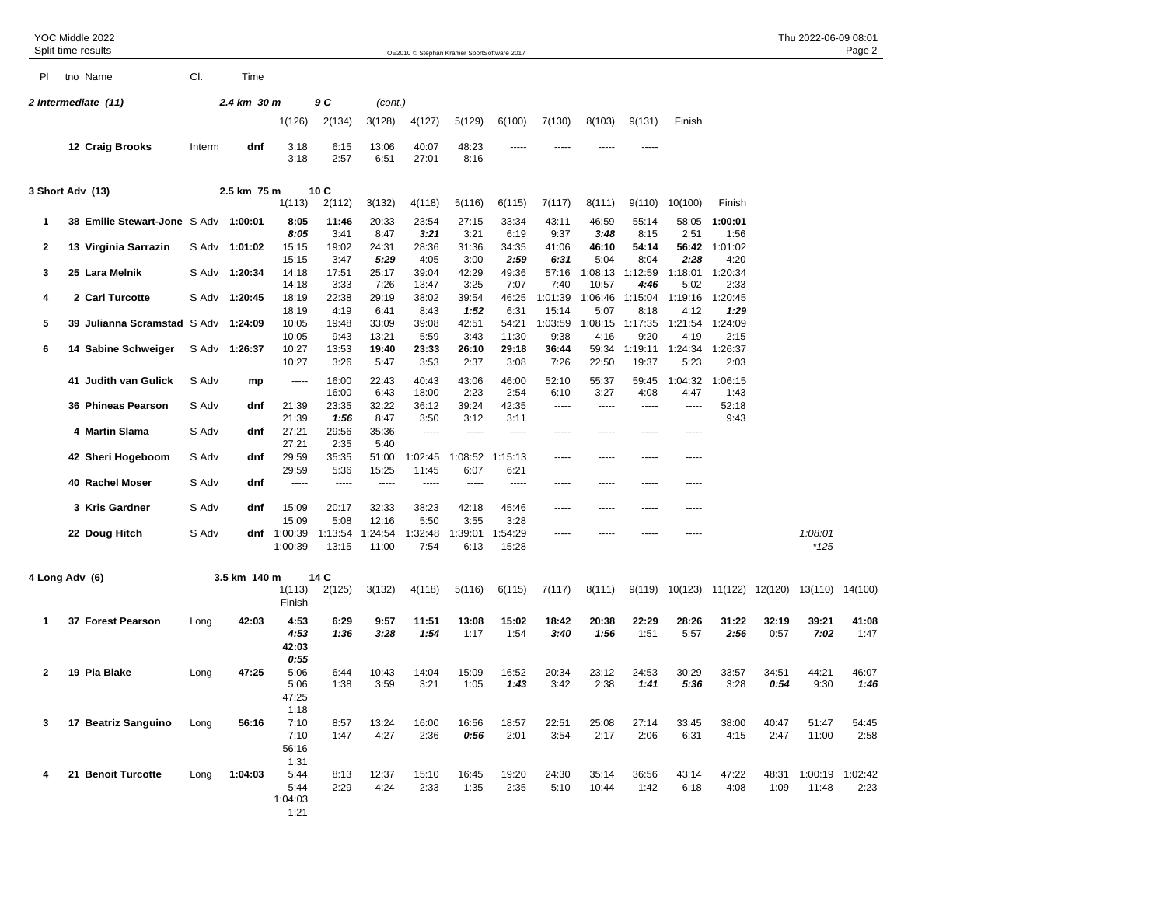|                     |  | YOC Middle 2022<br>Split time results |             |               |                                         |                  |                  |                  | OE2010 © Stephan Krämer SportSoftware 2017 |                        |                  |                  |                         |                 |                         |               | Thu 2022-06-09 08:01 | Page 2          |
|---------------------|--|---------------------------------------|-------------|---------------|-----------------------------------------|------------------|------------------|------------------|--------------------------------------------|------------------------|------------------|------------------|-------------------------|-----------------|-------------------------|---------------|----------------------|-----------------|
| PI.                 |  | tno Name                              | CI.         | Time          |                                         |                  |                  |                  |                                            |                        |                  |                  |                         |                 |                         |               |                      |                 |
| 2 Intermediate (11) |  |                                       |             | 2.4 km 30 m   |                                         | 9 C              | (cont.)          |                  |                                            |                        |                  |                  |                         |                 |                         |               |                      |                 |
|                     |  |                                       |             |               | 1(126)                                  | 2(134)           | 3(128)           | 4(127)           | 5(129)                                     | 6(100)                 | 7(130)           | 8(103)           | 9(131)                  | Finish          |                         |               |                      |                 |
|                     |  | 12 Craig Brooks                       | Interm      | dnf           | 3:18<br>3:18                            | 6:15<br>2:57     | 13:06<br>6:51    | 40:07<br>27:01   | 48:23<br>8:16                              |                        |                  |                  |                         |                 |                         |               |                      |                 |
| 3 Short Adv (13)    |  |                                       | 2.5 km 75 m | 1(113)        | 10 C<br>2(112)                          | 3(132)           | 4(118)           | 5(116)           | 6(115)                                     | 7(117)                 | 8(111)           | 9(110)           | 10(100)                 | Finish          |                         |               |                      |                 |
| 1                   |  | 38 Emilie Stewart-Jone S Adv          |             | 1:00:01       | 8:05<br>8:05                            | 11:46<br>3:41    | 20:33<br>8:47    | 23:54<br>3:21    | 27:15<br>3:21                              | 33:34<br>6:19          | 43:11<br>9:37    | 46:59<br>3:48    | 55:14<br>8:15           | 58:05<br>2:51   | 1:00:01<br>1:56         |               |                      |                 |
| 2                   |  | 13 Virginia Sarrazin                  |             | S Adv 1:01:02 | 15:15<br>15:15                          | 19:02<br>3:47    | 24:31<br>5:29    | 28:36<br>4:05    | 31:36<br>3:00                              | 34:35<br>2:59          | 41:06<br>6:31    | 46:10<br>5:04    | 54:14<br>8:04           | 56:42<br>2:28   | 1:01:02<br>4:20         |               |                      |                 |
| 3                   |  | 25 Lara Melnik                        | S Adv       | 1:20:34       | 14:18<br>14:18                          | 17:51<br>3:33    | 25:17<br>7:26    | 39:04<br>13:47   | 42:29<br>3:25                              | 49:36<br>7:07          | 57:16<br>7:40    | 1:08:13<br>10:57 | 1:12:59<br>4:46         | 1:18:01<br>5:02 | 1:20:34<br>2:33         |               |                      |                 |
| 4                   |  | 2 Carl Turcotte                       | S Adv       | 1:20:45       | 18:19<br>18:19                          | 22:38<br>4:19    | 29:19<br>6:41    | 38:02<br>8:43    | 39:54                                      | 46:25                  | 1:01:39<br>15:14 | 1:06:46<br>5:07  | 1:15:04<br>8:18         | 1:19:16<br>4:12 | 1:20:45<br>1:29         |               |                      |                 |
| 5                   |  | 39 Julianna Scramstad S Adv           |             | 1:24:09       | 10:05<br>10:05                          | 19:48<br>9:43    | 33:09<br>13:21   | 39:08<br>5:59    | 1:52<br>42:51<br>3:43                      | 6:31<br>54:21<br>11:30 | 1:03:59<br>9:38  | 4:16             | 1:08:15 1:17:35<br>9:20 | 1:21:54<br>4:19 | 1:24:09<br>2:15         |               |                      |                 |
| 6                   |  | 14 Sabine Schweiger                   |             | S Adv 1:26:37 | 10:27<br>10:27                          | 13:53<br>3:26    | 19:40<br>5:47    | 23:33<br>3:53    | 26:10<br>2:37                              | 29:18<br>3:08          | 36:44<br>7:26    | 59:34<br>22:50   | 1:19:11<br>19:37        | 1:24:34<br>5:23 | 1:26:37<br>2:03         |               |                      |                 |
|                     |  | 41 Judith van Gulick                  | S Adv       | mp            | -----                                   | 16:00<br>16:00   | 22:43<br>6:43    | 40:43<br>18:00   | 43:06<br>2:23                              | 46:00<br>2:54          | 52:10<br>6:10    | 55:37<br>3:27    | 59:45<br>4:08           | 1:04:32<br>4:47 | 1:06:15<br>1:43         |               |                      |                 |
|                     |  | 36 Phineas Pearson                    | S Adv       | dnf           | 21:39<br>21:39                          | 23:35<br>1:56    | 32:22<br>8:47    | 36:12<br>3:50    | 39:24<br>3:12                              | 42:35<br>3:11          |                  | $- - - - -$      | -----                   | -----           | 52:18<br>9:43           |               |                      |                 |
|                     |  | 4 Martin Slama                        | S Adv       | dnf           | 27:21<br>27:21                          | 29:56<br>2:35    | 35:36<br>5:40    | -----            | -----                                      | -----                  | -----            | -----            | -----                   | -----           |                         |               |                      |                 |
|                     |  | 42 Sheri Hogeboom                     | S Adv       | dnf           | 29:59<br>29:59                          | 35:35<br>5:36    | 51:00<br>15:25   | 1:02:45<br>11:45 | 1:08:52<br>6:07                            | 1:15:13<br>6:21        | -----            | -----            | $- - - - -$             | -----           |                         |               |                      |                 |
|                     |  | 40 Rachel Moser                       | S Adv       | dnf           | -----                                   | -----            | -----            | -----            | -----                                      | -----                  | -----            |                  | -----                   |                 |                         |               |                      |                 |
|                     |  | 3 Kris Gardner                        | S Adv       | dnf           | 15:09<br>15:09                          | 20:17<br>5:08    | 32:33<br>12:16   | 38:23<br>5:50    | 42:18<br>3:55                              | 45:46<br>3:28          | -----            | -----            | -----                   | -----           |                         |               |                      |                 |
|                     |  | 22 Doug Hitch                         | S Adv       |               | dnf $1:00:39$<br>1:00:39                | 1:13:54<br>13:15 | 1:24:54<br>11:00 | 1:32:48<br>7:54  | 1:39:01<br>6:13                            | 1:54:29<br>15:28       | -----            |                  |                         | -----           |                         |               | 1:08:01<br>$*125$    |                 |
| 4 Long Adv (6)      |  |                                       |             | 3.5 km 140 m  | 1(113)<br>Finish                        | 14 C<br>2(125)   | 3(132)           | 4(118)           | 5(116)                                     | 6(115)                 | 7(117)           | 8(111)           | 9(119)                  |                 | 10(123) 11(122) 12(120) |               | 13(110) 14(100)      |                 |
| 1                   |  | 37 Forest Pearson                     | Long        | 42:03         | 4:53<br>4:53<br>42:03                   | 6:29<br>1:36     | 9:57<br>3:28     | 11:51<br>1:54    | 13:08<br>1:17                              | 15:02<br>1:54          | 18:42<br>3:40    | 20:38<br>1:56    | 22:29<br>1:51           | 28:26<br>5:57   | 31:22<br>2:56           | 32:19<br>0:57 | 39:21<br>7:02        | 41:08<br>1:47   |
| 2                   |  | 19 Pia Blake                          | Long        | 47:25         | 0:55<br>5:06<br>5:06<br>47:25<br>1:18   | 6:44<br>1:38     | 10:43<br>3:59    | 14:04<br>3:21    | 15:09<br>1:05                              | 16:52<br>1:43          | 20:34<br>3:42    | 23:12<br>2:38    | 24:53<br>1:41           | 30:29<br>5:36   | 33:57<br>3:28           | 34:51<br>0:54 | 44:21<br>9:30        | 46:07<br>1:46   |
| 3                   |  | 17 Beatriz Sanguino                   | Long        | 56:16         | 7:10<br>7:10<br>56:16                   | 8:57<br>1:47     | 13:24<br>4:27    | 16:00<br>2:36    | 16:56<br>0:56                              | 18:57<br>2:01          | 22:51<br>3:54    | 25:08<br>2:17    | 27:14<br>2:06           | 33:45<br>6:31   | 38:00<br>4:15           | 40:47<br>2:47 | 51:47<br>11:00       | 54:45<br>2:58   |
| 4                   |  | 21 Benoit Turcotte                    | Long        | 1:04:03       | 1:31<br>5:44<br>5:44<br>1:04:03<br>1:21 | 8:13<br>2:29     | 12:37<br>4:24    | 15:10<br>2:33    | 16:45<br>1:35                              | 19:20<br>2:35          | 24:30<br>5:10    | 35:14<br>10:44   | 36:56<br>1:42           | 43:14<br>6:18   | 47:22<br>4:08           | 48:31<br>1:09 | 1:00:19<br>11:48     | 1:02:42<br>2:23 |